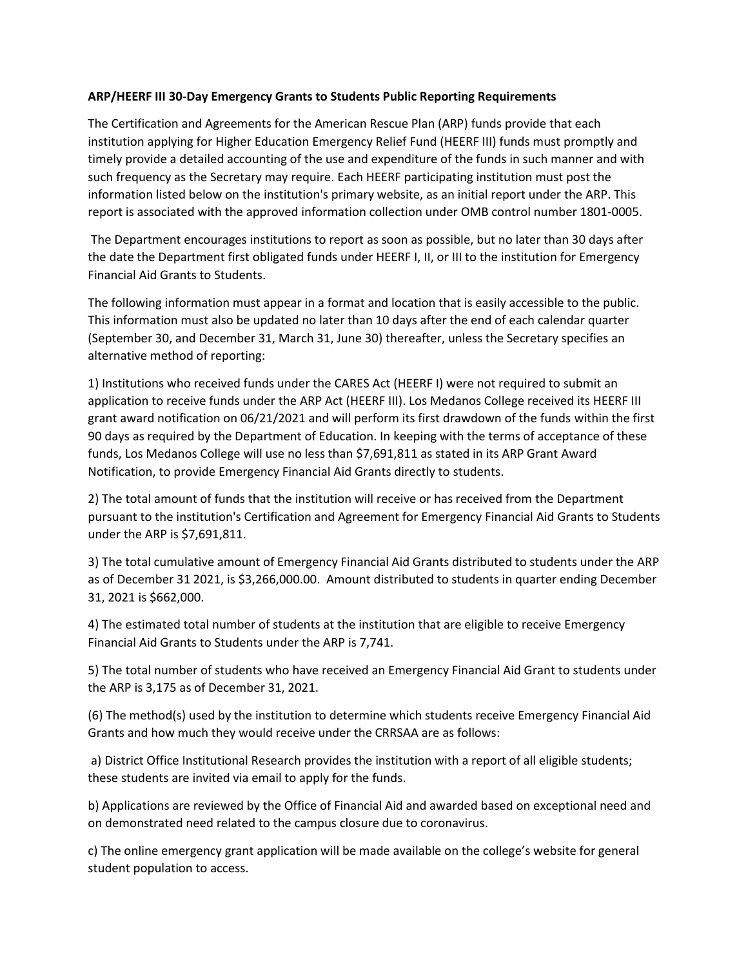## **ARP/HEERF III 30-Day Emergency Grants to Students Public Reporting Requirements**

The Certification and Agreements for the American Rescue Plan (ARP) funds provide that each institution applying for Higher Education Emergency Relief Fund (HEERF III) funds must promptly and timely provide a detailed accounting of the use and expenditure of the funds in such manner and with such frequency as the Secretary may require. Each HEERF participating institution must post the information listed below on the institution's primary website, as an initial report under the ARP. This report is associated with the approved information collection under OMB control number 1801-0005.

The Department encourages institutions to report as soon as possible, but no later than 30 days after the date the Department first obligated funds under HEERF I, II, or III to the institution for Emergency Financial Aid Grants to Students.

The following information must appear in a format and location that is easily accessible to the public. This information must also be updated no later than 10 days after the end of each calendar quarter (September 30, and December 31, March 31, June 30) thereafter, unless the Secretary specifies an alternative method of reporting:

1) Institutions who received funds under the CARES Act (HEERF I) were not required to submit an application to receive funds under the ARP Act (HEERF III). Los Medanos College received its HEERF III grant award notification on 06/21/2021 and will perform its first drawdown of the funds within the first 90 days as required by the Department of Education. In keeping with the terms of acceptance of these funds, Los Medanos College will use no less than \$7,691,811 as stated in its ARP Grant Award Notification, to provide Emergency Financial Aid Grants directly to students.

2) The total amount of funds that the institution will receive or has received from the Department pursuant to the institution's Certification and Agreement for Emergency Financial Aid Grants to Students under the ARP is \$7,691,811.

3) The total cumulative amount of Emergency Financial Aid Grants distributed to students under the ARP as of December 31 2021, is \$3,266,000.00. Amount distributed to students in quarter ending December 31, 2021 is \$662,000.

4) The estimated total number of students at the institution that are eligible to receive Emergency Financial Aid Grants to Students under the ARP is 7,741.

5) The total number of students who have received an Emergency Financial Aid Grant to students under the ARP is 3,175 as of December 31, 2021.

(6) The method(s) used by the institution to determine which students receive Emergency Financial Aid Grants and how much they would receive under the CRRSAA are as follows:

a) District Office Institutional Research provides the institution with a report of all eligible students; these students are invited via email to apply for the funds.

b) Applications are reviewed by the Office of Financial Aid and awarded based on exceptional need and on demonstrated need related to the campus closure due to coronavirus.

c) The online emergency grant application will be made available on the college's website for general student population to access.